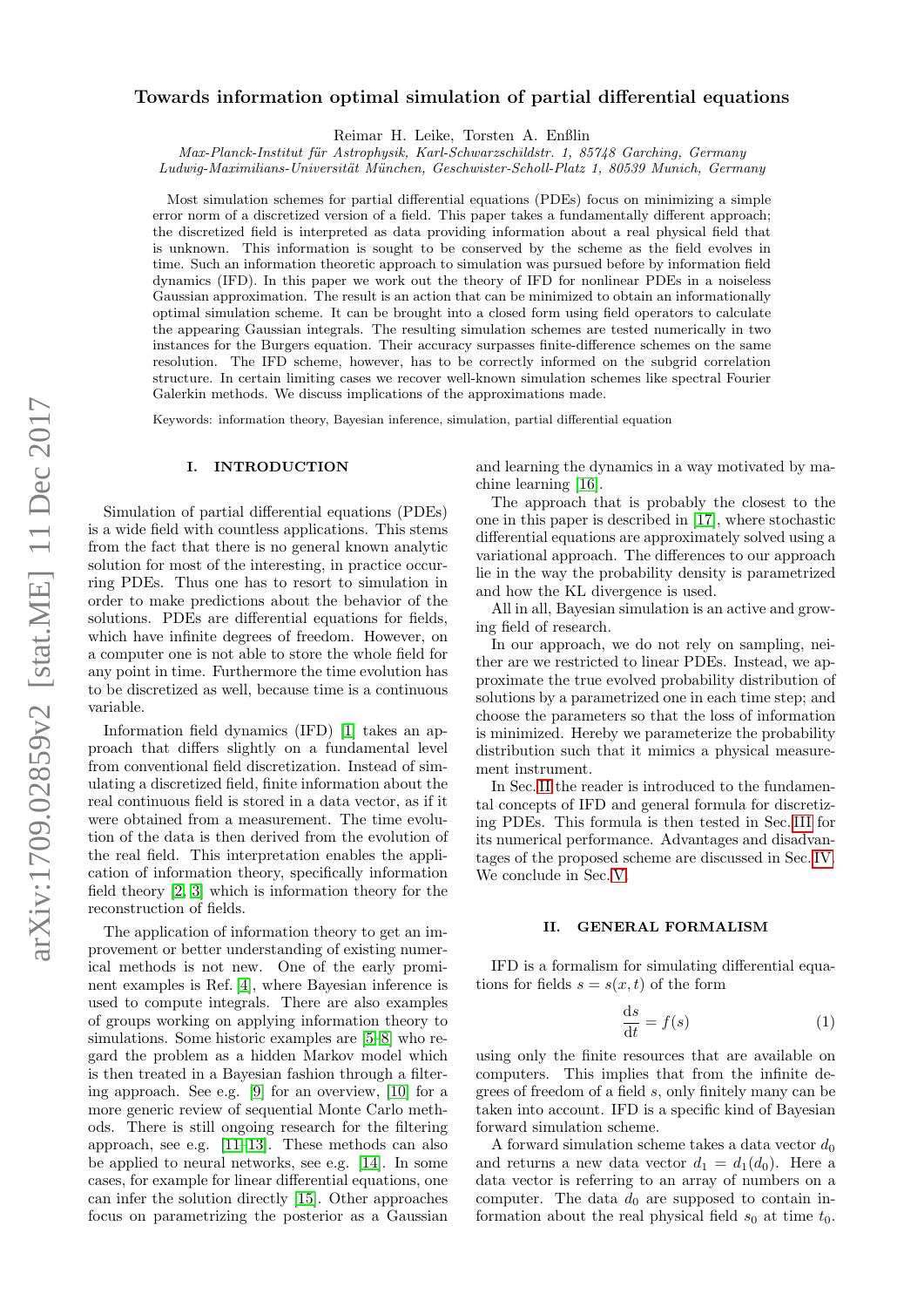# Towards information optimal simulation of partial differential equations

Reimar H. Leike, Torsten A. Enßlin

Max-Planck-Institut für Astrophysik, Karl-Schwarzschildstr. 1, 85748 Garching, Germany

Ludwig-Maximilians-Universität München, Geschwister-Scholl-Platz 1, 80539 Munich, Germany

Most simulation schemes for partial differential equations (PDEs) focus on minimizing a simple error norm of a discretized version of a field. This paper takes a fundamentally different approach; the discretized field is interpreted as data providing information about a real physical field that is unknown. This information is sought to be conserved by the scheme as the field evolves in time. Such an information theoretic approach to simulation was pursued before by information field dynamics (IFD). In this paper we work out the theory of IFD for nonlinear PDEs in a noiseless Gaussian approximation. The result is an action that can be minimized to obtain an informationally optimal simulation scheme. It can be brought into a closed form using field operators to calculate the appearing Gaussian integrals. The resulting simulation schemes are tested numerically in two instances for the Burgers equation. Their accuracy surpasses finite-difference schemes on the same resolution. The IFD scheme, however, has to be correctly informed on the subgrid correlation structure. In certain limiting cases we recover well-known simulation schemes like spectral Fourier Galerkin methods. We discuss implications of the approximations made.

Keywords: information theory, Bayesian inference, simulation, partial differential equation

### I. INTRODUCTION

Simulation of partial differential equations (PDEs) is a wide field with countless applications. This stems from the fact that there is no general known analytic solution for most of the interesting, in practice occurring PDEs. Thus one has to resort to simulation in order to make predictions about the behavior of the solutions. PDEs are differential equations for fields, which have infinite degrees of freedom. However, on a computer one is not able to store the whole field for any point in time. Furthermore the time evolution has to be discretized as well, because time is a continuous variable.

Information field dynamics (IFD) [\[1\]](#page-7-0) takes an approach that differs slightly on a fundamental level from conventional field discretization. Instead of simulating a discretized field, finite information about the real continuous field is stored in a data vector, as if it were obtained from a measurement. The time evolution of the data is then derived from the evolution of the real field. This interpretation enables the application of information theory, specifically information field theory [\[2,](#page-7-1) [3\]](#page-7-2) which is information theory for the reconstruction of fields.

The application of information theory to get an improvement or better understanding of existing numerical methods is not new. One of the early prominent examples is Ref. [\[4\]](#page-7-3), where Bayesian inference is used to compute integrals. There are also examples of groups working on applying information theory to simulations. Some historic examples are [\[5–](#page-7-4)[8\]](#page-7-5) who regard the problem as a hidden Markov model which is then treated in a Bayesian fashion through a filtering approach. See e.g. [\[9\]](#page-7-6) for an overview, [\[10\]](#page-7-7) for a more generic review of sequential Monte Carlo methods. There is still ongoing research for the filtering approach, see e.g. [\[11–](#page-7-8)[13\]](#page-7-9). These methods can also be applied to neural networks, see e.g. [\[14\]](#page-7-10). In some cases, for example for linear differential equations, one can infer the solution directly [\[15\]](#page-7-11). Other approaches focus on parametrizing the posterior as a Gaussian

and learning the dynamics in a way motivated by machine learning [\[16\]](#page-7-12).

The approach that is probably the closest to the one in this paper is described in [\[17\]](#page-7-13), where stochastic differential equations are approximately solved using a variational approach. The differences to our approach lie in the way the probability density is parametrized and how the KL divergence is used.

All in all, Bayesian simulation is an active and growing field of research.

In our approach, we do not rely on sampling, neither are we restricted to linear PDEs. Instead, we approximate the true evolved probability distribution of solutions by a parametrized one in each time step; and choose the parameters so that the loss of information is minimized. Hereby we parameterize the probability distribution such that it mimics a physical measurement instrument.

In Sec. [II](#page-0-0) the reader is introduced to the fundamental concepts of IFD and general formula for discretizing PDEs. This formula is then tested in Sec. [III](#page-3-0) for its numerical performance. Advantages and disadvantages of the proposed scheme are discussed in Sec. [IV.](#page-5-0) We conclude in Sec. [V.](#page-6-0)

### <span id="page-0-0"></span>II. GENERAL FORMALISM

IFD is a formalism for simulating differential equations for fields  $s = s(x, t)$  of the form

<span id="page-0-1"></span>
$$
\frac{\mathrm{d}s}{\mathrm{d}t} = f(s) \tag{1}
$$

using only the finite resources that are available on computers. This implies that from the infinite degrees of freedom of a field s, only finitely many can be taken into account. IFD is a specific kind of Bayesian forward simulation scheme.

A forward simulation scheme takes a data vector  $d_0$ and returns a new data vector  $d_1 = d_1(d_0)$ . Here a data vector is referring to an array of numbers on a computer. The data  $d_0$  are supposed to contain information about the real physical field  $s_0$  at time  $t_0$ .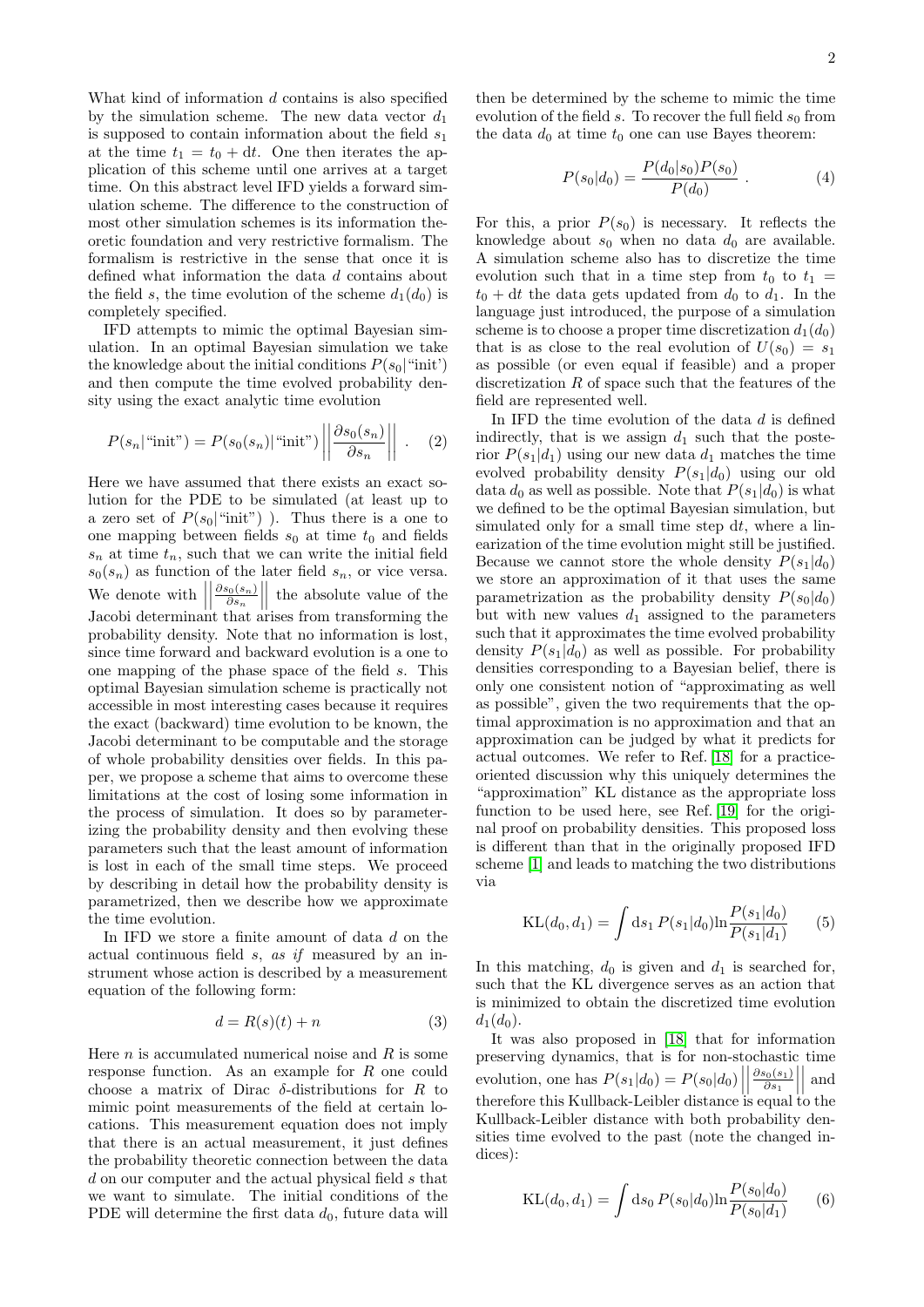What kind of information d contains is also specified by the simulation scheme. The new data vector  $d_1$ is supposed to contain information about the field  $s_1$ at the time  $t_1 = t_0 + dt$ . One then iterates the application of this scheme until one arrives at a target time. On this abstract level IFD yields a forward simulation scheme. The difference to the construction of most other simulation schemes is its information theoretic foundation and very restrictive formalism. The formalism is restrictive in the sense that once it is defined what information the data d contains about the field s, the time evolution of the scheme  $d_1(d_0)$  is completely specified.

IFD attempts to mimic the optimal Bayesian simulation. In an optimal Bayesian simulation we take the knowledge about the initial conditions  $P(s_0|^{\omega}$ init') and then compute the time evolved probability density using the exact analytic time evolution

$$
P(s_n|\text{``init")} = P(s_0(s_n)|\text{``init")}\left|\left|\frac{\partial s_0(s_n)}{\partial s_n}\right|\right| . \quad (2)
$$

Here we have assumed that there exists an exact solution for the PDE to be simulated (at least up to a zero set of  $P(s_0 | ``init")$  ). Thus there is a one to one mapping between fields  $s_0$  at time  $t_0$  and fields  $s_n$  at time  $t_n$ , such that we can write the initial field  $s_0(s_n)$  as function of the later field  $s_n$ , or vice versa. We denote with  $\vert$  $\begin{array}{c} \begin{array}{c} \begin{array}{c} \end{array} \\ \begin{array}{c} \end{array} \end{array} \end{array}$  $\partial s_0(s_n)$  $rac{s_0(s_n)}{\partial s_n}$ the absolute value of the  $\int$ Jacobi determinant that arises from transforming the probability density. Note that no information is lost, since time forward and backward evolution is a one to one mapping of the phase space of the field s. This optimal Bayesian simulation scheme is practically not accessible in most interesting cases because it requires the exact (backward) time evolution to be known, the Jacobi determinant to be computable and the storage of whole probability densities over fields. In this paper, we propose a scheme that aims to overcome these limitations at the cost of losing some information in the process of simulation. It does so by parameterizing the probability density and then evolving these parameters such that the least amount of information is lost in each of the small time steps. We proceed by describing in detail how the probability density is parametrized, then we describe how we approximate the time evolution.

In IFD we store a finite amount of data  $d$  on the actual continuous field s, as if measured by an instrument whose action is described by a measurement equation of the following form:

$$
d = R(s)(t) + n \tag{3}
$$

Here  $n$  is accumulated numerical noise and  $R$  is some response function. As an example for R one could choose a matrix of Dirac  $\delta$ -distributions for R to mimic point measurements of the field at certain locations. This measurement equation does not imply that there is an actual measurement, it just defines the probability theoretic connection between the data d on our computer and the actual physical field s that we want to simulate. The initial conditions of the PDE will determine the first data  $d_0$ , future data will

then be determined by the scheme to mimic the time evolution of the field s. To recover the full field  $s_0$  from the data  $d_0$  at time  $t_0$  one can use Bayes theorem:

$$
P(s_0|d_0) = \frac{P(d_0|s_0)P(s_0)}{P(d_0)}.
$$
 (4)

For this, a prior  $P(s_0)$  is necessary. It reflects the knowledge about  $s_0$  when no data  $d_0$  are available. A simulation scheme also has to discretize the time evolution such that in a time step from  $t_0$  to  $t_1$  =  $t_0 + dt$  the data gets updated from  $d_0$  to  $d_1$ . In the language just introduced, the purpose of a simulation scheme is to choose a proper time discretization  $d_1(d_0)$ that is as close to the real evolution of  $U(s_0) = s_1$ as possible (or even equal if feasible) and a proper discretization  $R$  of space such that the features of the field are represented well.

In IFD the time evolution of the data d is defined indirectly, that is we assign  $d_1$  such that the posterior  $P(s_1|d_1)$  using our new data  $d_1$  matches the time evolved probability density  $P(s_1|d_0)$  using our old data  $d_0$  as well as possible. Note that  $P(s_1|d_0)$  is what we defined to be the optimal Bayesian simulation, but simulated only for a small time step  $dt$ , where a linearization of the time evolution might still be justified. Because we cannot store the whole density  $P(s_1|d_0)$ we store an approximation of it that uses the same parametrization as the probability density  $P(s_0|d_0)$ but with new values  $d_1$  assigned to the parameters such that it approximates the time evolved probability density  $P(s_1|d_0)$  as well as possible. For probability densities corresponding to a Bayesian belief, there is only one consistent notion of "approximating as well as possible", given the two requirements that the optimal approximation is no approximation and that an approximation can be judged by what it predicts for actual outcomes. We refer to Ref. [\[18\]](#page-7-14) for a practiceoriented discussion why this uniquely determines the "approximation" KL distance as the appropriate loss function to be used here, see Ref. [\[19\]](#page-7-15) for the original proof on probability densities. This proposed loss is different than that in the originally proposed IFD scheme [\[1\]](#page-7-0) and leads to matching the two distributions via

<span id="page-1-0"></span>
$$
KL(d_0, d_1) = \int ds_1 P(s_1|d_0) \ln \frac{P(s_1|d_0)}{P(s_1|d_1)}
$$
(5)

In this matching,  $d_0$  is given and  $d_1$  is searched for, such that the KL divergence serves as an action that is minimized to obtain the discretized time evolution  $d_1(d_0)$ .

It was also proposed in [\[18\]](#page-7-14) that for information preserving dynamics, that is for non-stochastic time evolution, one has  $P(s_1|d_0) = P(s_0|d_0)$  $\begin{array}{c} \begin{array}{c} \end{array} \end{array}$  $\partial s_0(s_1)$  $\frac{s_0(s_1)}{\partial s_1}$  $\Big|$  and therefore this Kullback-Leibler distance is equal to the Kullback-Leibler distance with both probability densities time evolved to the past (note the changed indices):

<span id="page-1-1"></span>
$$
KL(d_0, d_1) = \int ds_0 P(s_0|d_0) \ln \frac{P(s_0|d_0)}{P(s_0|d_1)} \qquad (6)
$$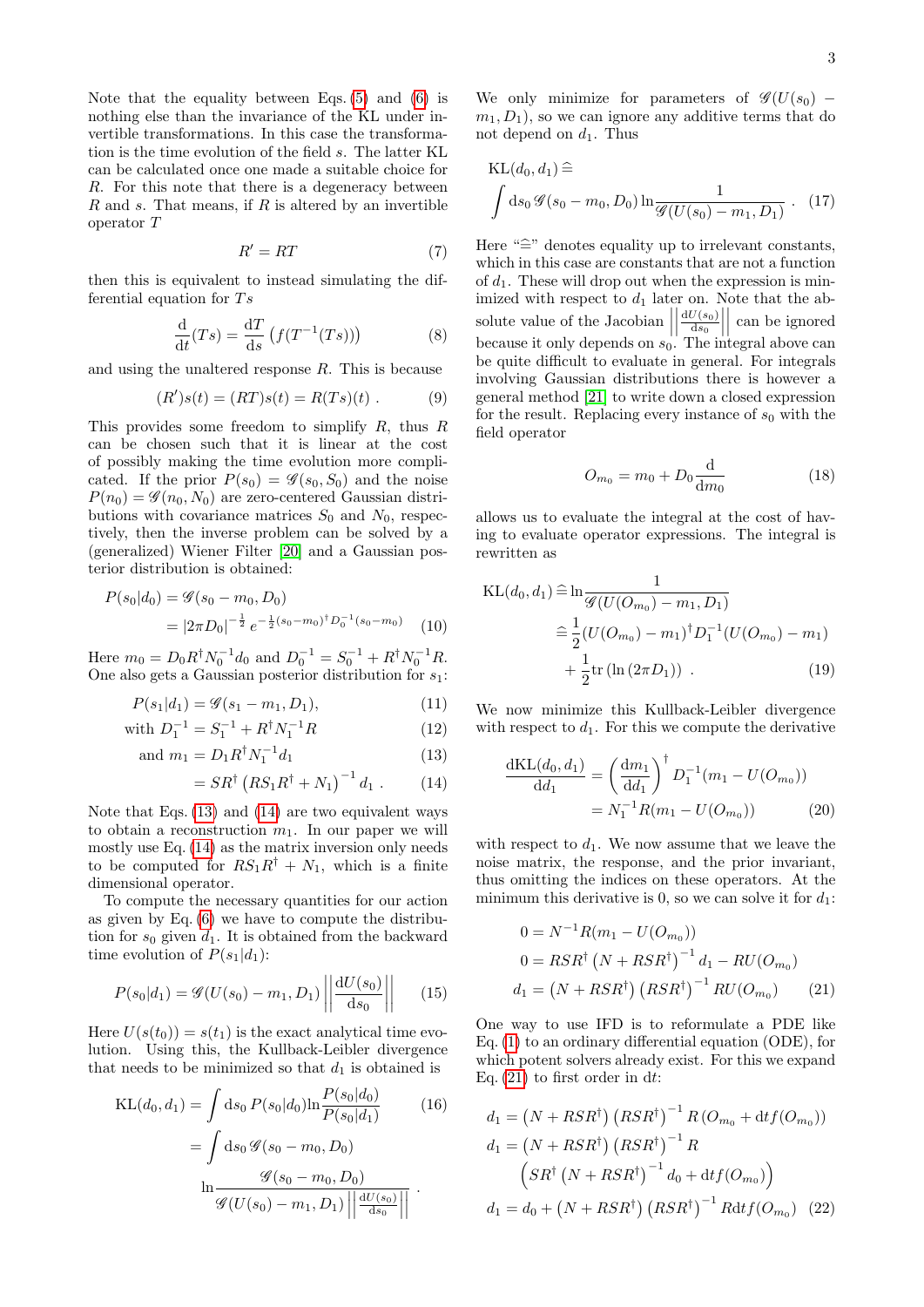Note that the equality between Eqs. [\(5\)](#page-1-0) and [\(6\)](#page-1-1) is nothing else than the invariance of the KL under invertible transformations. In this case the transformation is the time evolution of the field s. The latter KL can be calculated once one made a suitable choice for R. For this note that there is a degeneracy between  $R$  and  $s$ . That means, if  $R$  is altered by an invertible operator T

$$
R' = RT \tag{7}
$$

then this is equivalent to instead simulating the differential equation for  $Ts$ 

$$
\frac{\mathrm{d}}{\mathrm{d}t}(Ts) = \frac{\mathrm{d}T}{\mathrm{d}s} \left( f(T^{-1}(Ts)) \right) \tag{8}
$$

and using the unaltered response R. This is because

$$
(R')s(t) = (RT)s(t) = R(Ts)(t) . \t(9)
$$

This provides some freedom to simplify R, thus R can be chosen such that it is linear at the cost of possibly making the time evolution more complicated. If the prior  $P(s_0) = \mathscr{G}(s_0, S_0)$  and the noise  $P(n_0) = \mathscr{G}(n_0, N_0)$  are zero-centered Gaussian distributions with covariance matrices  $S_0$  and  $N_0$ , respectively, then the inverse problem can be solved by a (generalized) Wiener Filter [\[20\]](#page-7-16) and a Gaussian posterior distribution is obtained:

$$
P(s_0|d_0) = \mathcal{G}(s_0 - m_0, D_0)
$$
  
=  $|2\pi D_0|^{-\frac{1}{2}} e^{-\frac{1}{2}(s_0 - m_0)^\dagger D_0^{-1}(s_0 - m_0)}$  (10)

Here  $m_0 = D_0 R^{\dagger} N_0^{-1} d_0$  and  $D_0^{-1} = S_0^{-1} + R^{\dagger} N_0^{-1} R$ . One also gets a Gaussian posterior distribution for  $s_1$ :

$$
P(s_1|d_1) = \mathcal{G}(s_1 - m_1, D_1),\tag{11}
$$

with 
$$
D_1^{-1} = S_1^{-1} + R^{\dagger} N_1^{-1} R
$$
 (12)

and 
$$
m_1 = D_1 R^{\dagger} N_1^{-1} d_1
$$
 (13)

$$
= SR^{\dagger} (RS_1 R^{\dagger} + N_1)^{-1} d_1 . \tag{14}
$$

Note that Eqs. [\(13\)](#page-2-0) and [\(14\)](#page-2-1) are two equivalent ways to obtain a reconstruction  $m_1$ . In our paper we will mostly use Eq. [\(14\)](#page-2-1) as the matrix inversion only needs to be computed for  $RS_1R^{\dagger} + N_1$ , which is a finite dimensional operator.

To compute the necessary quantities for our action as given by Eq. [\(6\)](#page-1-1) we have to compute the distribution for  $s_0$  given  $d_1$ . It is obtained from the backward time evolution of  $P(s_1|d_1)$ :

$$
P(s_0|d_1) = \mathcal{G}(U(s_0) - m_1, D_1) \left| \left| \frac{\mathrm{d}U(s_0)}{\mathrm{d}s_0} \right| \right| \tag{15}
$$

Here  $U(s(t_0)) = s(t_1)$  is the exact analytical time evolution. Using this, the Kullback-Leibler divergence that needs to be minimized so that  $d_1$  is obtained is

$$
KL(d_0, d_1) = \int ds_0 P(s_0|d_0) \ln \frac{P(s_0|d_0)}{P(s_0|d_1)}
$$
(16)  
= 
$$
\int ds_0 \mathcal{G}(s_0 - m_0, D_0)
$$
  

$$
\ln \frac{\mathcal{G}(s_0 - m_0, D_0)}{\mathcal{G}(U(s_0) - m_1, D_1) ||\frac{dU(s_0)}{ds_0}||}.
$$

We only minimize for parameters of  $\mathscr{G}(U(s_0)$  –  $m_1, D_1$ , so we can ignore any additive terms that do not depend on  $d_1$ . Thus

$$
KL(d_0, d_1) \widehat{=} \int ds_0 \mathcal{G}(s_0 - m_0, D_0) \ln \frac{1}{\mathcal{G}(U(s_0) - m_1, D_1)} \quad (17)
$$

<span id="page-2-4"></span><span id="page-2-3"></span>Here " $\cong$ " denotes equality up to irrelevant constants, which in this case are constants that are not a function of  $d_1$ . These will drop out when the expression is minimized with respect to  $d_1$  later on. Note that the absolute value of the Jacobian  $\vert$  $\begin{array}{c} \begin{array}{c} \begin{array}{c} \end{array}\\ \begin{array}{c} \end{array} \end{array} \end{array}$  $dU(s_0)$  $\frac{U(s_0)}{ds_0}\Bigg|$  $\cos \theta$  can be ignored because it only depends on  $s_0$ . The integral above can be quite difficult to evaluate in general. For integrals involving Gaussian distributions there is however a general method [\[21\]](#page-7-17) to write down a closed expression for the result. Replacing every instance of  $s_0$  with the field operator

<span id="page-2-6"></span>
$$
O_{m_0} = m_0 + D_0 \frac{d}{dm_0}
$$
 (18)

<span id="page-2-5"></span>allows us to evaluate the integral at the cost of having to evaluate operator expressions. The integral is rewritten as

$$
\begin{split} \text{KL}(d_0, d_1) &\stackrel{\frown}{=} \ln \frac{1}{\mathcal{G}(U(O_{m_0}) - m_1, D_1)} \\ &\stackrel{\frown}{=} \frac{1}{2}(U(O_{m_0}) - m_1)^\dagger D_1^{-1}(U(O_{m_0}) - m_1) \\ &\quad + \frac{1}{2} \text{tr}\left(\ln\left(2\pi D_1\right)\right) \ . \end{split} \tag{19}
$$

<span id="page-2-1"></span><span id="page-2-0"></span>We now minimize this Kullback-Leibler divergence with respect to  $d_1$ . For this we compute the derivative

$$
\frac{\mathrm{dKL}(d_0, d_1)}{\mathrm{d}d_1} = \left(\frac{\mathrm{d}m_1}{\mathrm{d}d_1}\right)^{\dagger} D_1^{-1}(m_1 - U(O_{m_0}))
$$
\n
$$
= N_1^{-1} R(m_1 - U(O_{m_0})) \tag{20}
$$

with respect to  $d_1$ . We now assume that we leave the noise matrix, the response, and the prior invariant, thus omitting the indices on these operators. At the minimum this derivative is 0, so we can solve it for  $d_1$ :

<span id="page-2-2"></span>
$$
0 = N^{-1}R(m_1 - U(O_{m_0}))
$$
  
\n
$$
0 = RSR^{\dagger} (N + RSR^{\dagger})^{-1} d_1 - RU(O_{m_0})
$$
  
\n
$$
d_1 = (N + RSR^{\dagger}) (RSR^{\dagger})^{-1} RU(O_{m_0})
$$
 (21)

One way to use IFD is to reformulate a PDE like Eq. [\(1\)](#page-0-1) to an ordinary differential equation (ODE), for which potent solvers already exist. For this we expand Eq.  $(21)$  to first order in dt:

$$
d_1 = (N + RSR^{\dagger}) (RSR^{\dagger})^{-1} R (O_{m_0} + dt f(O_{m_0}))
$$
  
\n
$$
d_1 = (N + RSR^{\dagger}) (RSR^{\dagger})^{-1} R
$$
  
\n
$$
(SR^{\dagger} (N + RSR^{\dagger})^{-1} d_0 + dt f(O_{m_0}))
$$
  
\n
$$
d_1 = d_0 + (N + RSR^{\dagger}) (RSR^{\dagger})^{-1} Rdt f(O_{m_0})
$$
 (22)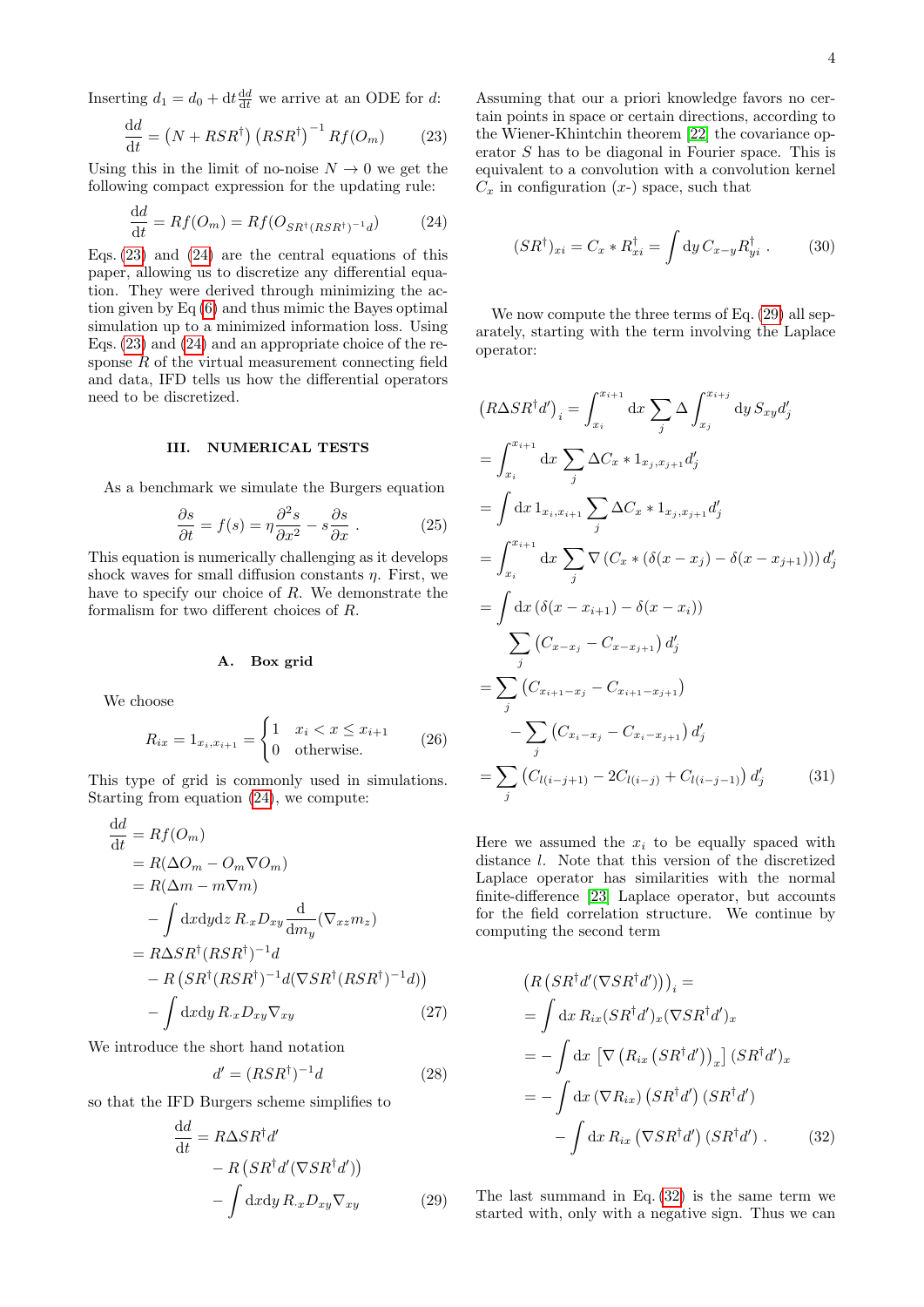Inserting  $d_1 = d_0 + dt \frac{dd}{dt}$  we arrive at an ODE for d:

$$
\frac{\mathrm{d}d}{\mathrm{d}t} = \left(N + RSR^{\dagger}\right) \left(RSR^{\dagger}\right)^{-1} Rf(O_m) \tag{23}
$$

Using this in the limit of no-noise  $N \to 0$  we get the following compact expression for the updating rule:

$$
\frac{\mathrm{d}d}{\mathrm{d}t} = Rf(O_m) = Rf(O_{SR^{\dagger}(RSR^{\dagger})^{-1}d})\tag{24}
$$

Eqs.  $(23)$  and  $(24)$  are the central equations of this paper, allowing us to discretize any differential equation. They were derived through minimizing the action given by Eq [\(6\)](#page-1-1) and thus mimic the Bayes optimal simulation up to a minimized information loss. Using Eqs. [\(23\)](#page-3-1) and [\(24\)](#page-3-2) and an appropriate choice of the response  $R$  of the virtual measurement connecting field and data, IFD tells us how the differential operators need to be discretized.

### <span id="page-3-0"></span>III. NUMERICAL TESTS

As a benchmark we simulate the Burgers equation

$$
\frac{\partial s}{\partial t} = f(s) = \eta \frac{\partial^2 s}{\partial x^2} - s \frac{\partial s}{\partial x} . \tag{25}
$$

This equation is numerically challenging as it develops shock waves for small diffusion constants  $n$ . First, we have to specify our choice of R. We demonstrate the formalism for two different choices of R.

#### <span id="page-3-7"></span>A. Box grid

We choose

$$
R_{ix} = 1_{x_i, x_{i+1}} = \begin{cases} 1 & x_i < x \le x_{i+1} \\ 0 & \text{otherwise.} \end{cases}
$$
 (26)

This type of grid is commonly used in simulations. Starting from equation [\(24\)](#page-3-2), we compute:

$$
\frac{dd}{dt} = Rf(O_m)
$$
\n
$$
= R(\Delta O_m - O_m \nabla O_m)
$$
\n
$$
= R(\Delta m - m \nabla m)
$$
\n
$$
- \int dx dy dz R_x D_{xy} \frac{d}{dm_y} (\nabla_{xz} m_z)
$$
\n
$$
= R\Delta S R^{\dagger} (RSR^{\dagger})^{-1} d
$$
\n
$$
- R (SR^{\dagger} (RSR^{\dagger})^{-1} d (\nabla SR^{\dagger} (RSR^{\dagger})^{-1} d))
$$
\n
$$
- \int dx dy R_x D_{xy} \nabla_{xy}
$$
\n(27)

We introduce the short hand notation

$$
d' = (RSR^{\dagger})^{-1}d \tag{28}
$$

so that the IFD Burgers scheme simplifies to

$$
\frac{dd}{dt} = R\Delta SR^{\dagger}d'
$$
  
- R (SR<sup>\dagger</sup>d'(\nabla SR<sup>\dagger</sup>d'))  
- \int dxdy R\_x D\_{xy} \nabla\_{xy} (29)

<span id="page-3-1"></span>Assuming that our a priori knowledge favors no certain points in space or certain directions, according to the Wiener-Khintchin theorem [\[22\]](#page-7-18) the covariance operator S has to be diagonal in Fourier space. This is equivalent to a convolution with a convolution kernel  $C_x$  in configuration  $(x)$  space, such that

<span id="page-3-2"></span>
$$
(SR^{\dagger})_{xi} = C_x * R_{xi}^{\dagger} = \int dy C_{x-y} R_{yi}^{\dagger} . \tag{30}
$$

We now compute the three terms of Eq. [\(29\)](#page-3-3) all separately, starting with the term involving the Laplace operator:

$$
(R\Delta SR^{\dagger}d')_i = \int_{x_i}^{x_{i+1}} dx \sum_j \Delta \int_{x_j}^{x_{i+j}} dy S_{xy} d'_j
$$
  
\n
$$
= \int_{x_i}^{x_{i+1}} dx \sum_j \Delta C_x * 1_{x_j, x_{j+1}} d'_j
$$
  
\n
$$
= \int dx 1_{x_i, x_{i+1}} \sum_j \Delta C_x * 1_{x_j, x_{j+1}} d'_j
$$
  
\n
$$
= \int_{x_i}^{x_{i+1}} dx \sum_j \nabla (C_x * (\delta(x - x_j) - \delta(x - x_{j+1}))) d'_j
$$
  
\n
$$
= \int dx (\delta(x - x_{i+1}) - \delta(x - x_i))
$$
  
\n
$$
\sum_j (C_{x - x_j} - C_{x - x_{j+1}}) d'_j
$$
  
\n
$$
= \sum_j (C_{x_{i+1} - x_j} - C_{x_{i+1} - x_{j+1}})
$$
  
\n
$$
- \sum_j (C_{x_i - x_j} - C_{x_i - x_{j+1}}) d'_j
$$
  
\n
$$
= \sum_j (C_{l(i-j+1)} - 2C_{l(i-j)} + C_{l(i-j-1)}) d'_j
$$
 (31)

<span id="page-3-6"></span>Here we assumed the  $x_i$  to be equally spaced with distance l. Note that this version of the discretized Laplace operator has similarities with the normal finite-difference [\[23\]](#page-7-19) Laplace operator, but accounts for the field correlation structure. We continue by computing the second term

<span id="page-3-5"></span><span id="page-3-4"></span>
$$
\begin{aligned}\n\left(R\left(SR^{\dagger}d'(\nabla SR^{\dagger}d')\right)\right)_i &= \\
&= \int \mathrm{d}x \, R_{ix}(SR^{\dagger}d')_x(\nabla SR^{\dagger}d')_x \\
&= -\int \mathrm{d}x \, \left[\nabla \left(R_{ix}\left(SR^{\dagger}d'\right)\right)_x\right](SR^{\dagger}d')_x \\
&= -\int \mathrm{d}x \left(\nabla R_{ix}\right)\left(SR^{\dagger}d'\right)(SR^{\dagger}d') \\
&- \int \mathrm{d}x \, R_{ix}\left(\nabla SR^{\dagger}d'\right)(SR^{\dagger}d')\,. \end{aligned} \tag{32}
$$

<span id="page-3-3"></span>The last summand in Eq.  $(32)$  is the same term we started with, only with a negative sign. Thus we can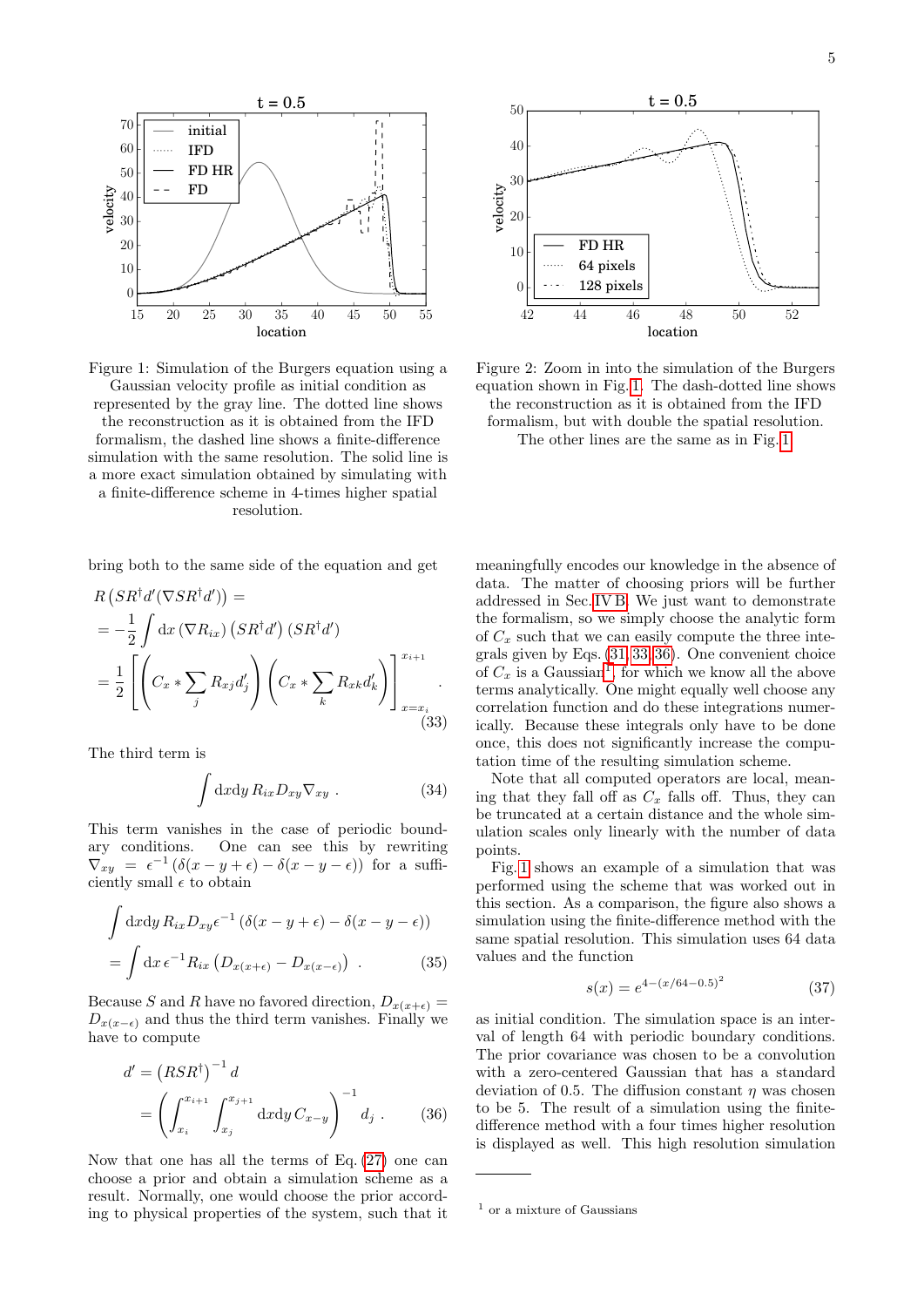<span id="page-4-0"></span>

Figure 1: Simulation of the Burgers equation using a Gaussian velocity profile as initial condition as represented by the gray line. The dotted line shows the reconstruction as it is obtained from the IFD formalism, the dashed line shows a finite-difference simulation with the same resolution. The solid line is a more exact simulation obtained by simulating with a finite-difference scheme in 4-times higher spatial resolution.

bring both to the same side of the equation and get

$$
R(SR^{\dagger}d'(\nabla SR^{\dagger}d')) =
$$
  
=  $-\frac{1}{2}\int dx (\nabla R_{ix}) (SR^{\dagger}d') (SR^{\dagger}d')$   
=  $\frac{1}{2}\left[\left(C_x * \sum_j R_{xj}d'_j\right) \left(C_x * \sum_k R_{xk}d'_k\right)\right]_{x=x_i}^{x_{i+1}}$ .  
(33)

The third term is

$$
\int dx dy R_{ix} D_{xy} \nabla_{xy} . \qquad (34)
$$

This term vanishes in the case of periodic boundary conditions. One can see this by rewriting  $\nabla_{xy} = \epsilon^{-1} (\delta(x - y + \epsilon) - \delta(x - y - \epsilon))$  for a sufficiently small  $\epsilon$  to obtain

$$
\int dx dy R_{ix} D_{xy} \epsilon^{-1} \left( \delta(x - y + \epsilon) - \delta(x - y - \epsilon) \right)
$$

$$
= \int dx \epsilon^{-1} R_{ix} \left( D_{x(x + \epsilon)} - D_{x(x - \epsilon)} \right) . \tag{35}
$$

Because S and R have no favored direction,  $D_{x(x+\epsilon)} =$  $D_{x(x-\epsilon)}$  and thus the third term vanishes. Finally we have to compute

$$
d' = (RSR^{\dagger})^{-1} d
$$
  
= 
$$
\left(\int_{x_i}^{x_{i+1}} \int_{x_j}^{x_{j+1}} dx dy C_{x-y}\right)^{-1} d_j.
$$
 (36)

Now that one has all the terms of Eq.  $(27)$  one can choose a prior and obtain a simulation scheme as a result. Normally, one would choose the prior according to physical properties of the system, such that it



Figure 2: Zoom in into the simulation of the Burgers equation shown in Fig. [1.](#page-4-0) The dash-dotted line shows the reconstruction as it is obtained from the IFD formalism, but with double the spatial resolution. The other lines are the same as in Fig. [1.](#page-4-0)

meaningfully encodes our knowledge in the absence of data. The matter of choosing priors will be further addressed in Sec. [IV B.](#page-6-1) We just want to demonstrate the formalism, so we simply choose the analytic form of  $C_x$  such that we can easily compute the three integrals given by Eqs. [\(31,](#page-3-6) [33,](#page-4-1) [36\)](#page-4-2). One convenient choice of  $C_x$  is a Gaussian<sup>[1](#page-4-3)</sup>, for which we know all the above terms analytically. One might equally well choose any correlation function and do these integrations numerically. Because these integrals only have to be done once, this does not significantly increase the computation time of the resulting simulation scheme.

<span id="page-4-1"></span>Note that all computed operators are local, meaning that they fall off as  $C_x$  falls off. Thus, they can be truncated at a certain distance and the whole simulation scales only linearly with the number of data points.

Fig. [1](#page-4-0) shows an example of a simulation that was performed using the scheme that was worked out in this section. As a comparison, the figure also shows a simulation using the finite-difference method with the same spatial resolution. This simulation uses 64 data values and the function

$$
s(x) = e^{4 - (x/64 - 0.5)^2}
$$
 (37)

<span id="page-4-2"></span>as initial condition. The simulation space is an interval of length 64 with periodic boundary conditions. The prior covariance was chosen to be a convolution with a zero-centered Gaussian that has a standard deviation of 0.5. The diffusion constant  $\eta$  was chosen to be 5. The result of a simulation using the finitedifference method with a four times higher resolution is displayed as well. This high resolution simulation

<span id="page-4-3"></span><sup>1</sup> or a mixture of Gaussians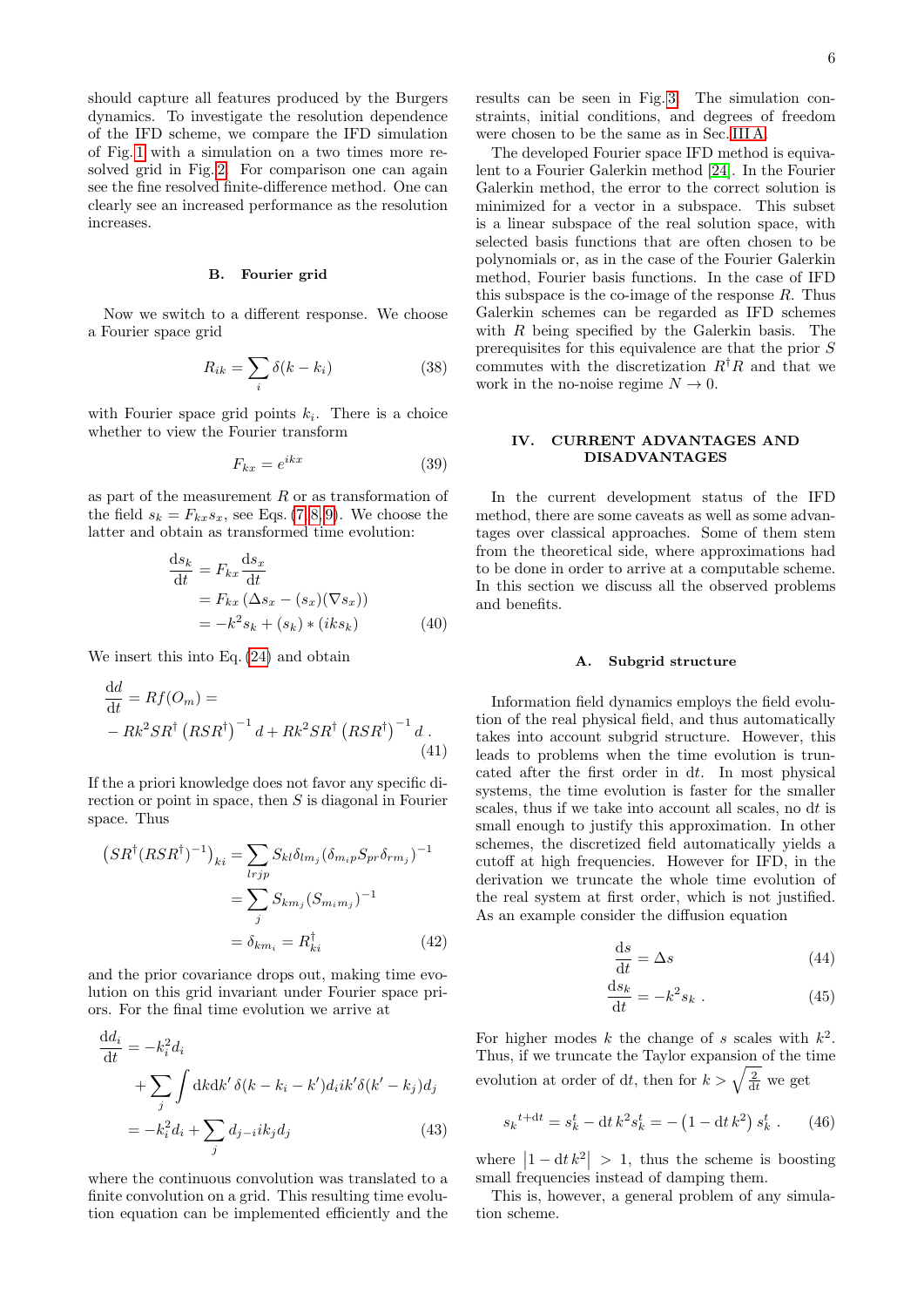should capture all features produced by the Burgers dynamics. To investigate the resolution dependence of the IFD scheme, we compare the IFD simulation of Fig. [1](#page-4-0) with a simulation on a two times more resolved grid in Fig. [2.](#page-4-0) For comparison one can again see the fine resolved finite-difference method. One can clearly see an increased performance as the resolution increases.

#### B. Fourier grid

Now we switch to a different response. We choose a Fourier space grid

$$
R_{ik} = \sum_{i} \delta(k - k_i) \tag{38}
$$

with Fourier space grid points  $k_i$ . There is a choice whether to view the Fourier transform

$$
F_{kx} = e^{ikx} \tag{39}
$$

as part of the measurement  $R$  or as transformation of the field  $s_k = F_{kx}s_x$ , see Eqs. [\(7,](#page-2-3) [8,](#page-2-4) [9\)](#page-2-5). We choose the latter and obtain as transformed time evolution:

$$
\frac{ds_k}{dt} = F_{kx} \frac{ds_x}{dt}
$$
  
=  $F_{kx} (\Delta s_x - (s_x)(\nabla s_x))$   
=  $-k^2 s_k + (s_k) * (iks_k)$  (40)

We insert this into Eq. [\(24\)](#page-3-2) and obtain

$$
\frac{\mathrm{d}d}{\mathrm{d}t} = Rf(O_m) =
$$
  
-  $Rk^2SR^{\dagger} (RSR^{\dagger})^{-1} d + Rk^2SR^{\dagger} (RSR^{\dagger})^{-1} d$ . (41)

If the a priori knowledge does not favor any specific direction or point in space, then S is diagonal in Fourier space. Thus

$$
(SR^{\dagger} (RSR^{\dagger})^{-1})_{ki} = \sum_{lrp} S_{kl} \delta_{lm_j} (\delta_{m_ip} S_{pr} \delta_{rm_j})^{-1}
$$

$$
= \sum_j S_{km_j} (S_{m_im_j})^{-1}
$$

$$
= \delta_{km_i} = R^{\dagger}_{ki}
$$
(42)

and the prior covariance drops out, making time evolution on this grid invariant under Fourier space priors. For the final time evolution we arrive at

$$
\frac{dd_i}{dt} = -k_i^2 d_i
$$
  
+  $\sum_j \int dk dk' \delta(k - k_i - k') d_i i k' \delta(k' - k_j) d_j$   
=  $-k_i^2 d_i + \sum_j d_{j-i} i k_j d_j$  (43)

where the continuous convolution was translated to a finite convolution on a grid. This resulting time evolution equation can be implemented efficiently and the

results can be seen in Fig. [3.](#page-6-2) The simulation constraints, initial conditions, and degrees of freedom were chosen to be the same as in Sec. [III A.](#page-3-7)

The developed Fourier space IFD method is equivalent to a Fourier Galerkin method [\[24\]](#page-7-20). In the Fourier Galerkin method, the error to the correct solution is minimized for a vector in a subspace. This subset is a linear subspace of the real solution space, with selected basis functions that are often chosen to be polynomials or, as in the case of the Fourier Galerkin method, Fourier basis functions. In the case of IFD this subspace is the co-image of the response  $R$ . Thus Galerkin schemes can be regarded as IFD schemes with  $R$  being specified by the Galerkin basis. The prerequisites for this equivalence are that the prior S commutes with the discretization  $R^{\dagger}R$  and that we work in the no-noise regime  $N \to 0$ .

# <span id="page-5-0"></span>IV. CURRENT ADVANTAGES AND DISADVANTAGES

In the current development status of the IFD method, there are some caveats as well as some advantages over classical approaches. Some of them stem from the theoretical side, where approximations had to be done in order to arrive at a computable scheme. In this section we discuss all the observed problems and benefits.

### A. Subgrid structure

Information field dynamics employs the field evolution of the real physical field, and thus automatically takes into account subgrid structure. However, this leads to problems when the time evolution is truncated after the first order in dt. In most physical systems, the time evolution is faster for the smaller scales, thus if we take into account all scales, no dt is small enough to justify this approximation. In other schemes, the discretized field automatically yields a cutoff at high frequencies. However for IFD, in the derivation we truncate the whole time evolution of the real system at first order, which is not justified. As an example consider the diffusion equation

$$
\frac{\mathrm{d}s}{\mathrm{d}t} = \Delta s \tag{44}
$$

$$
\frac{\mathrm{d}s_k}{\mathrm{d}t} = -k^2 s_k \tag{45}
$$

For higher modes  $k$  the change of  $s$  scales with  $k^2$ . Thus, if we truncate the Taylor expansion of the time evolution at order of dt, then for  $k > \sqrt{\frac{2}{dt}}$  we get

$$
s_k^{t+dt} = s_k^t - dt k^2 s_k^t = -(1 - dt k^2) s_k^t .
$$
 (46)

where  $\left|1 - \frac{dt k^2\right| > 1$ , thus the scheme is boosting small frequencies instead of damping them.

This is, however, a general problem of any simulation scheme.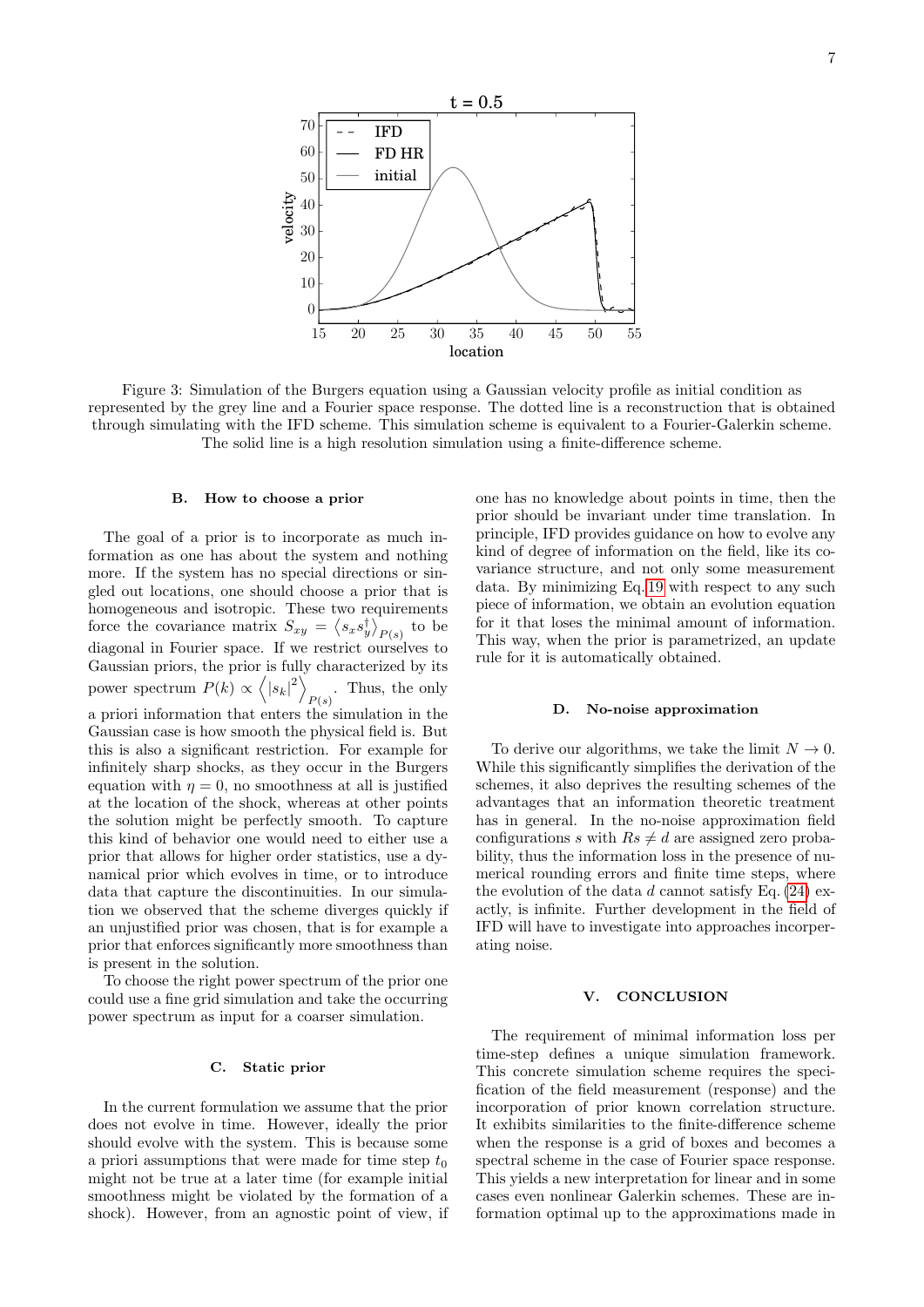<span id="page-6-2"></span>

Figure 3: Simulation of the Burgers equation using a Gaussian velocity profile as initial condition as represented by the grey line and a Fourier space response. The dotted line is a reconstruction that is obtained through simulating with the IFD scheme. This simulation scheme is equivalent to a Fourier-Galerkin scheme. The solid line is a high resolution simulation using a finite-difference scheme.

# <span id="page-6-1"></span>B. How to choose a prior

The goal of a prior is to incorporate as much information as one has about the system and nothing more. If the system has no special directions or singled out locations, one should choose a prior that is homogeneous and isotropic. These two requirements force the covariance matrix  $S_{xy} = \langle s_x s_y^{\dagger} \rangle_{P(s)}$  to be diagonal in Fourier space. If we restrict ourselves to Gaussian priors, the prior is fully characterized by its power spectrum  $P(k) \propto \langle |s_k|^2 \rangle$  $P(s)$ . Thus, the only a priori information that enters the simulation in the Gaussian case is how smooth the physical field is. But this is also a significant restriction. For example for infinitely sharp shocks, as they occur in the Burgers equation with  $\eta = 0$ , no smoothness at all is justified at the location of the shock, whereas at other points the solution might be perfectly smooth. To capture this kind of behavior one would need to either use a prior that allows for higher order statistics, use a dynamical prior which evolves in time, or to introduce data that capture the discontinuities. In our simulation we observed that the scheme diverges quickly if an unjustified prior was chosen, that is for example a prior that enforces significantly more smoothness than is present in the solution.

To choose the right power spectrum of the prior one could use a fine grid simulation and take the occurring power spectrum as input for a coarser simulation.

# C. Static prior

In the current formulation we assume that the prior does not evolve in time. However, ideally the prior should evolve with the system. This is because some a priori assumptions that were made for time step  $t_0$ might not be true at a later time (for example initial smoothness might be violated by the formation of a shock). However, from an agnostic point of view, if one has no knowledge about points in time, then the prior should be invariant under time translation. In principle, IFD provides guidance on how to evolve any kind of degree of information on the field, like its covariance structure, and not only some measurement data. By minimizing Eq. [19](#page-2-6) with respect to any such piece of information, we obtain an evolution equation for it that loses the minimal amount of information. This way, when the prior is parametrized, an update rule for it is automatically obtained.

#### D. No-noise approximation

To derive our algorithms, we take the limit  $N \to 0$ . While this significantly simplifies the derivation of the schemes, it also deprives the resulting schemes of the advantages that an information theoretic treatment has in general. In the no-noise approximation field configurations s with  $Rs \neq d$  are assigned zero probability, thus the information loss in the presence of numerical rounding errors and finite time steps, where the evolution of the data d cannot satisfy Eq.  $(24)$  exactly, is infinite. Further development in the field of IFD will have to investigate into approaches incorperating noise.

### <span id="page-6-0"></span>V. CONCLUSION

The requirement of minimal information loss per time-step defines a unique simulation framework. This concrete simulation scheme requires the specification of the field measurement (response) and the incorporation of prior known correlation structure. It exhibits similarities to the finite-difference scheme when the response is a grid of boxes and becomes a spectral scheme in the case of Fourier space response. This yields a new interpretation for linear and in some cases even nonlinear Galerkin schemes. These are information optimal up to the approximations made in